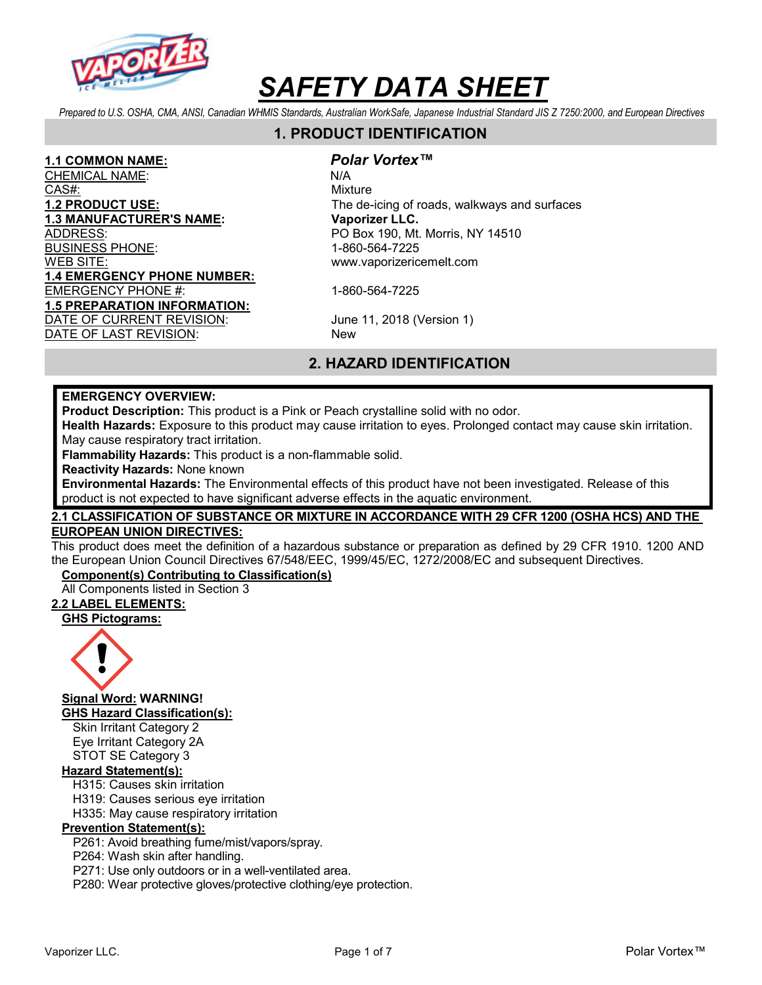

Prepared to U.S. OSHA, CMA, ANSI, Canadian WHMIS Standards, Australian WorkSafe, Japanese Industrial Standard JIS Z 7250:2000, and European Directives

# 1. PRODUCT IDENTIFICATION

1.1 COMMON NAME: *Polar Vortex*™<br>CHEMICAL NAME: N/A CHEMICAL NAME: CAS#: White Mixture CAS Mixture 1.3 MANUFACTURER'S NAME: Vaporizer LLC. BUSINESS PHONE: 1-860-564-7225 WEB SITE: www.vaporizericemelt.com 1.4 EMERGENCY PHONE NUMBER: EMERGENCY PHONE #: 1-860-564-7225 1.5 PREPARATION INFORMATION: DATE OF CURRENT REVISION: June 11, 2018 (Version 1) DATE OF LAST REVISION: New

1.2 PRODUCT USE: The de-icing of roads, walkways and surfaces PO Box 190, Mt. Morris, NY 14510

# 2. HAZARD IDENTIFICATION

#### EMERGENCY OVERVIEW:

Product Description: This product is a Pink or Peach crystalline solid with no odor.

Health Hazards: Exposure to this product may cause irritation to eyes. Prolonged contact may cause skin irritation. May cause respiratory tract irritation.

Flammability Hazards: This product is a non-flammable solid.

Reactivity Hazards: None known

Environmental Hazards: The Environmental effects of this product have not been investigated. Release of this product is not expected to have significant adverse effects in the aquatic environment.

#### 2.1 CLASSIFICATION OF SUBSTANCE OR MIXTURE IN ACCORDANCE WITH 29 CFR 1200 (OSHA HCS) AND THE EUROPEAN UNION DIRECTIVES:

This product does meet the definition of a hazardous substance or preparation as defined by 29 CFR 1910. 1200 AND the European Union Council Directives 67/548/EEC, 1999/45/EC, 1272/2008/EC and subsequent Directives.

#### Component(s) Contributing to Classification(s)

All Components listed in Section 3

#### 2.2 LABEL ELEMENTS:

GHS Pictograms:



Signal Word: WARNING! GHS Hazard Classification(s):

Skin Irritant Category 2 Eye Irritant Category 2A STOT SE Category 3

#### Hazard Statement(s):

H315: Causes skin irritation

H319: Causes serious eye irritation

H335: May cause respiratory irritation

#### Prevention Statement(s):

P261: Avoid breathing fume/mist/vapors/spray.

P264: Wash skin after handling.

P271: Use only outdoors or in a well-ventilated area.

P280: Wear protective gloves/protective clothing/eye protection.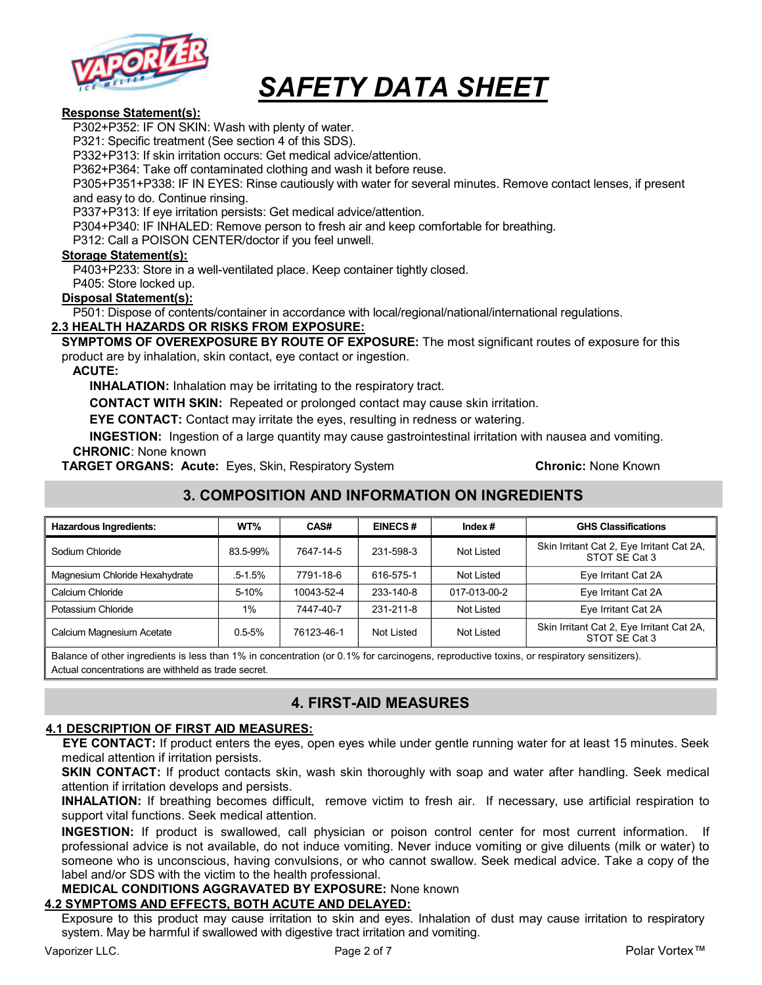

#### Response Statement(s):

P302+P352: IF ON SKIN: Wash with plenty of water.

P321: Specific treatment (See section 4 of this SDS).

P332+P313: If skin irritation occurs: Get medical advice/attention.

P362+P364: Take off contaminated clothing and wash it before reuse.

P305+P351+P338: IF IN EYES: Rinse cautiously with water for several minutes. Remove contact lenses, if present and easy to do. Continue rinsing.

P337+P313: If eye irritation persists: Get medical advice/attention.

P304+P340: IF INHALED: Remove person to fresh air and keep comfortable for breathing.

P312: Call a POISON CENTER/doctor if you feel unwell.

#### Storage Statement(s):

P403+P233: Store in a well-ventilated place. Keep container tightly closed.

P405: Store locked up.

#### Disposal Statement(s):

P501: Dispose of contents/container in accordance with local/regional/national/international regulations.

### 2.3 HEALTH HAZARDS OR RISKS FROM EXPOSURE:

SYMPTOMS OF OVEREXPOSURE BY ROUTE OF EXPOSURE: The most significant routes of exposure for this product are by inhalation, skin contact, eye contact or ingestion.

#### ACUTE:

INHALATION: Inhalation may be irritating to the respiratory tract.

CONTACT WITH SKIN: Repeated or prolonged contact may cause skin irritation.

EYE CONTACT: Contact may irritate the eyes, resulting in redness or watering.

INGESTION: Ingestion of a large quantity may cause gastrointestinal irritation with nausea and vomiting. CHRONIC: None known

**TARGET ORGANS: Acute:** Eyes, Skin, Respiratory System **Chronic: None Known** 

# 3. COMPOSITION AND INFORMATION ON INGREDIENTS

| <b>Hazardous Ingredients:</b>  | WT%         | CAS#       | <b>EINECS#</b> | Index $#$    | <b>GHS Classifications</b>                                 |
|--------------------------------|-------------|------------|----------------|--------------|------------------------------------------------------------|
| Sodium Chloride                | 83.5-99%    | 7647-14-5  | 231-598-3      | Not Listed   | Skin Irritant Cat 2, Eye Irritant Cat 2A,<br>STOT SE Cat 3 |
| Magnesium Chloride Hexahydrate | $.5 - 1.5%$ | 7791-18-6  | 616-575-1      | Not Listed   | Eye Irritant Cat 2A                                        |
| Calcium Chloride               | 5-10%       | 10043-52-4 | 233-140-8      | 017-013-00-2 | Eye Irritant Cat 2A                                        |
| Potassium Chloride             | $1\%$       | 7447-40-7  | 231-211-8      | Not Listed   | Eye Irritant Cat 2A                                        |
| Calcium Magnesium Acetate      | $0.5 - 5%$  | 76123-46-1 | Not Listed     | Not Listed   | Skin Irritant Cat 2, Eye Irritant Cat 2A,<br>STOT SE Cat 3 |

Balance of other ingredients is less than 1% in concentration (or 0.1% for carcinogens, reproductive toxins, or respiratory sensitizers). Actual concentrations are withheld as trade secret.

# 4. FIRST-AID MEASURES

#### 4.1 DESCRIPTION OF FIRST AID MEASURES:

EYE CONTACT: If product enters the eyes, open eyes while under gentle running water for at least 15 minutes. Seek medical attention if irritation persists.

SKIN CONTACT: If product contacts skin, wash skin thoroughly with soap and water after handling. Seek medical attention if irritation develops and persists.

INHALATION: If breathing becomes difficult, remove victim to fresh air. If necessary, use artificial respiration to support vital functions. Seek medical attention.

INGESTION: If product is swallowed, call physician or poison control center for most current information. If professional advice is not available, do not induce vomiting. Never induce vomiting or give diluents (milk or water) to someone who is unconscious, having convulsions, or who cannot swallow. Seek medical advice. Take a copy of the label and/or SDS with the victim to the health professional.

#### MEDICAL CONDITIONS AGGRAVATED BY EXPOSURE: None known

### 4.2 SYMPTOMS AND EFFECTS, BOTH ACUTE AND DELAYED:

Exposure to this product may cause irritation to skin and eyes. Inhalation of dust may cause irritation to respiratory system. May be harmful if swallowed with digestive tract irritation and vomiting.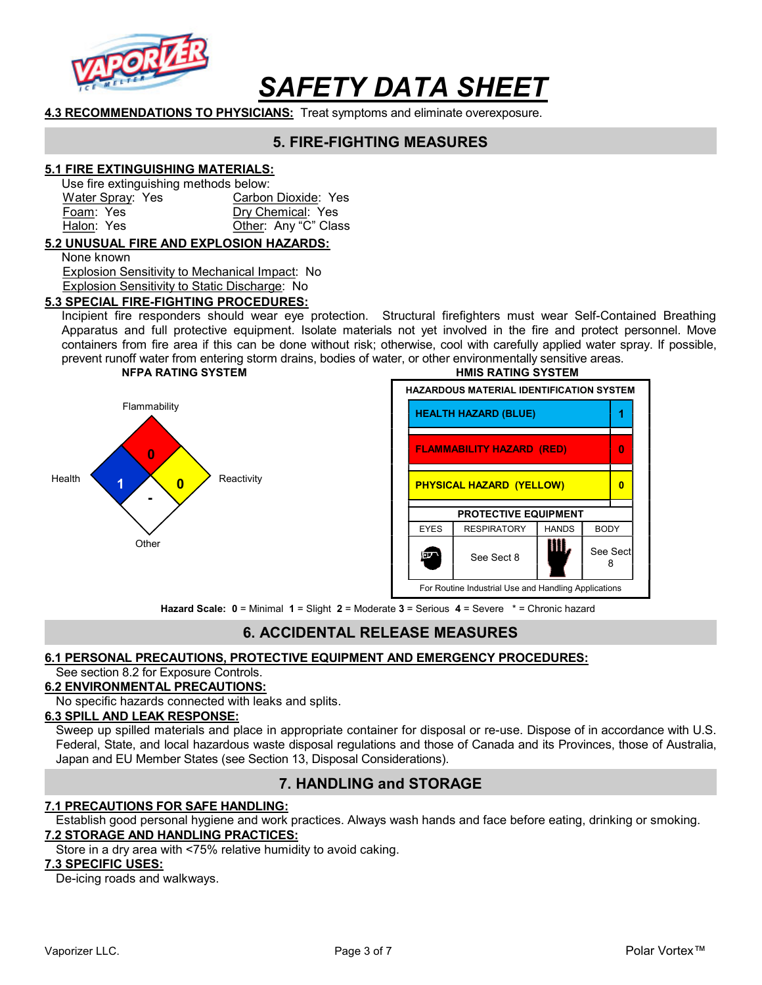

4.3 RECOMMENDATIONS TO PHYSICIANS: Treat symptoms and eliminate overexposure.

# 5. FIRE-FIGHTING MEASURES

### 5.1 FIRE EXTINGUISHING MATERIALS:

Use fire extinguishing methods below:

Water Spray: Yes Carbon Dioxide: Yes Foam: Yes Dry Chemical: Yes Halon: Yes **Other: Any "C" Class** 

### 5.2 UNUSUAL FIRE AND EXPLOSION HAZARDS:

None known

 Explosion Sensitivity to Mechanical Impact: No Explosion Sensitivity to Static Discharge: No

#### 5.3 SPECIAL FIRE-FIGHTING PROCEDURES:

Incipient fire responders should wear eye protection. Structural firefighters must wear Self-Contained Breathing Apparatus and full protective equipment. Isolate materials not yet involved in the fire and protect personnel. Move containers from fire area if this can be done without risk; otherwise, cool with carefully applied water spray. If possible, prevent runoff water from entering storm drains, bodies of water, or other environmentally sensitive areas.





Hazard Scale:  $0 =$  Minimal  $1 =$  Slight  $2 =$  Moderate  $3 =$  Serious  $4 =$  Severe  $* =$  Chronic hazard

### 6. ACCIDENTAL RELEASE MEASURES

#### 6.1 PERSONAL PRECAUTIONS, PROTECTIVE EQUIPMENT AND EMERGENCY PROCEDURES:

#### See section 8.2 for Exposure Controls.

#### 6.2 ENVIRONMENTAL PRECAUTIONS:

No specific hazards connected with leaks and splits.

#### 6.3 SPILL AND LEAK RESPONSE:

Sweep up spilled materials and place in appropriate container for disposal or re-use. Dispose of in accordance with U.S. Federal, State, and local hazardous waste disposal regulations and those of Canada and its Provinces, those of Australia, Japan and EU Member States (see Section 13, Disposal Considerations).

### 7. HANDLING and STORAGE

#### 7.1 PRECAUTIONS FOR SAFE HANDLING:

Establish good personal hygiene and work practices. Always wash hands and face before eating, drinking or smoking. 7.2 STORAGE AND HANDLING PRACTICES:

Store in a dry area with <75% relative humidity to avoid caking.

#### 7.3 SPECIFIC USES:

De-icing roads and walkways.

Vaporizer LLC. Page 3 of 7 Polar Vortex™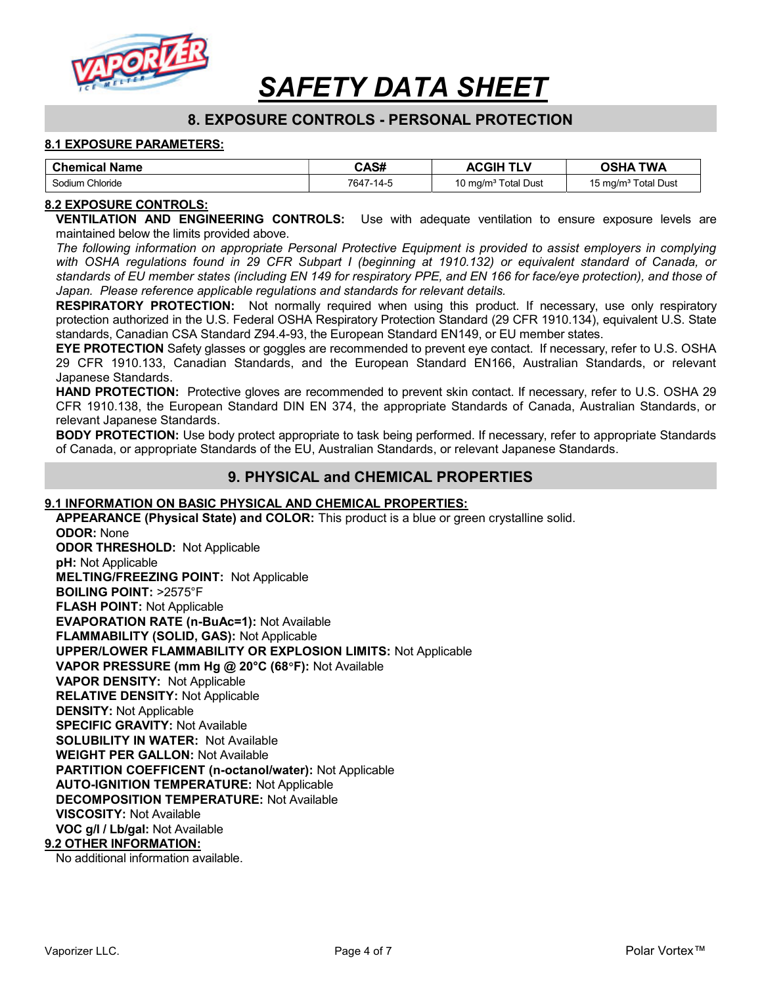

# 8. EXPOSURE CONTROLS - PERSONAL PROTECTION

#### 8.1 EXPOSURE PARAMETERS:

| <b>Chemical Name</b> | CAS#      | <b>ACGIH</b>                    | <b>TWA</b><br><b>OSHA</b>       |
|----------------------|-----------|---------------------------------|---------------------------------|
| Sodium Chloride      | 7647-14-5 | 10 mg/m <sup>3</sup> Total Dust | 15 mg/m <sup>3</sup> Total Dust |

#### 8.2 EXPOSURE CONTROLS:

VENTILATION AND ENGINEERING CONTROLS: Use with adequate ventilation to ensure exposure levels are maintained below the limits provided above.

The following information on appropriate Personal Protective Equipment is provided to assist employers in complying with OSHA regulations found in 29 CFR Subpart I (beginning at 1910.132) or equivalent standard of Canada, or standards of EU member states (including EN 149 for respiratory PPE, and EN 166 for face/eye protection), and those of Japan. Please reference applicable regulations and standards for relevant details.

**RESPIRATORY PROTECTION:** Not normally required when using this product. If necessary, use only respiratory protection authorized in the U.S. Federal OSHA Respiratory Protection Standard (29 CFR 1910.134), equivalent U.S. State standards, Canadian CSA Standard Z94.4-93, the European Standard EN149, or EU member states.

EYE PROTECTION Safety glasses or goggles are recommended to prevent eye contact. If necessary, refer to U.S. OSHA 29 CFR 1910.133, Canadian Standards, and the European Standard EN166, Australian Standards, or relevant Japanese Standards.

HAND PROTECTION: Protective gloves are recommended to prevent skin contact. If necessary, refer to U.S. OSHA 29 CFR 1910.138, the European Standard DIN EN 374, the appropriate Standards of Canada, Australian Standards, or relevant Japanese Standards.

**BODY PROTECTION:** Use body protect appropriate to task being performed. If necessary, refer to appropriate Standards of Canada, or appropriate Standards of the EU, Australian Standards, or relevant Japanese Standards.

### 9. PHYSICAL and CHEMICAL PROPERTIES

#### 9.1 INFORMATION ON BASIC PHYSICAL AND CHEMICAL PROPERTIES:

APPEARANCE (Physical State) and COLOR: This product is a blue or green crystalline solid.

ODOR: None ODOR THRESHOLD: Not Applicable pH: Not Applicable MELTING/FREEZING POINT: Not Applicable BOILING POINT: >2575°F FLASH POINT: Not Applicable EVAPORATION RATE (n-BuAc=1): Not Available FLAMMABILITY (SOLID, GAS): Not Applicable UPPER/LOWER FLAMMABILITY OR EXPLOSION LIMITS: Not Applicable VAPOR PRESSURE (mm Hg @ 20°C (68°F): Not Available VAPOR DENSITY: Not Applicable RELATIVE DENSITY: Not Applicable DENSITY: Not Applicable SPECIFIC GRAVITY: Not Available SOLUBILITY IN WATER: Not Available WEIGHT PER GALLON: Not Available PARTITION COEFFICENT (n-octanol/water): Not Applicable AUTO-IGNITION TEMPERATURE: Not Applicable DECOMPOSITION TEMPERATURE: Not Available VISCOSITY: Not Available VOC g/l / Lb/gal: Not Available 9.2 OTHER INFORMATION:

No additional information available.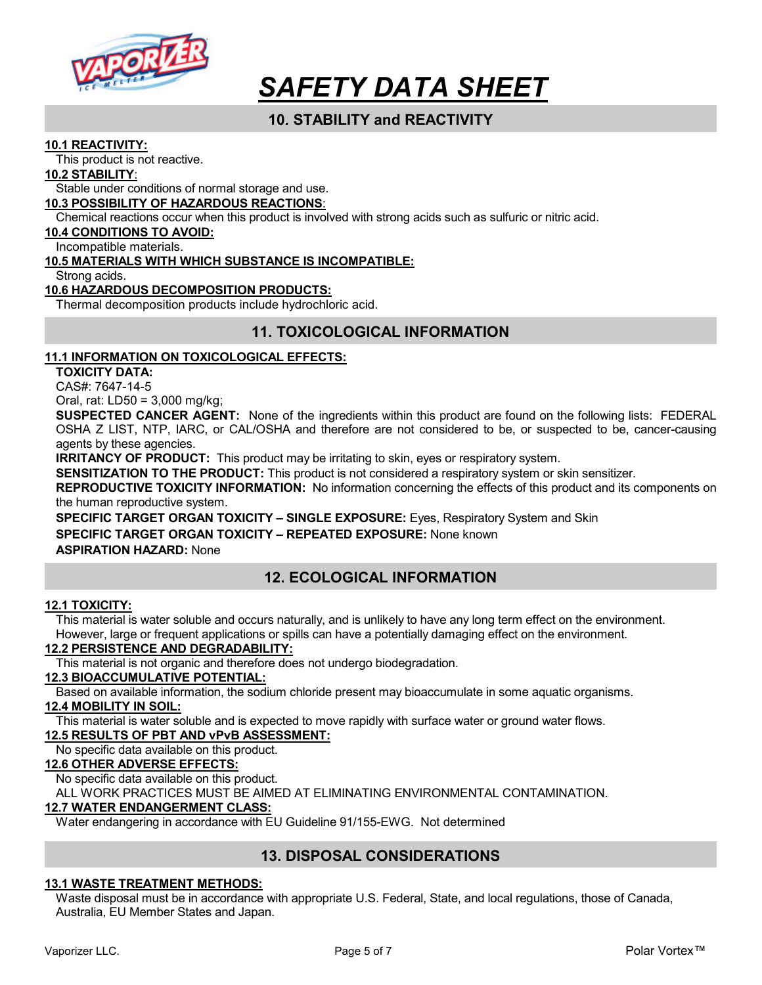

# 10. STABILITY and REACTIVITY

#### 10.1 REACTIVITY:

This product is not reactive.

#### 10.2 STABILITY:

Stable under conditions of normal storage and use.

#### 10.3 POSSIBILITY OF HAZARDOUS REACTIONS:

Chemical reactions occur when this product is involved with strong acids such as sulfuric or nitric acid.

#### 10.4 CONDITIONS TO AVOID:

Incompatible materials.

#### 10.5 MATERIALS WITH WHICH SUBSTANCE IS INCOMPATIBLE:

Strong acids.

#### 10.6 HAZARDOUS DECOMPOSITION PRODUCTS:

Thermal decomposition products include hydrochloric acid.

# 11. TOXICOLOGICAL INFORMATION

#### 11.1 INFORMATION ON TOXICOLOGICAL EFFECTS:

TOXICITY DATA:

CAS#: 7647-14-5

Oral, rat: LD50 = 3,000 mg/kg;

SUSPECTED CANCER AGENT: None of the ingredients within this product are found on the following lists: FEDERAL OSHA Z LIST, NTP, IARC, or CAL/OSHA and therefore are not considered to be, or suspected to be, cancer-causing agents by these agencies.

**IRRITANCY OF PRODUCT:** This product may be irritating to skin, eyes or respiratory system.

SENSITIZATION TO THE PRODUCT: This product is not considered a respiratory system or skin sensitizer.

REPRODUCTIVE TOXICITY INFORMATION: No information concerning the effects of this product and its components on the human reproductive system.

SPECIFIC TARGET ORGAN TOXICITY – SINGLE EXPOSURE: Eyes, Respiratory System and Skin SPECIFIC TARGET ORGAN TOXICITY - REPEATED EXPOSURE: None known ASPIRATION HAZARD: None

# 12. ECOLOGICAL INFORMATION

#### 12.1 TOXICITY:

This material is water soluble and occurs naturally, and is unlikely to have any long term effect on the environment. However, large or frequent applications or spills can have a potentially damaging effect on the environment.

#### 12.2 PERSISTENCE AND DEGRADABILITY:

This material is not organic and therefore does not undergo biodegradation.

### 12.3 BIOACCUMULATIVE POTENTIAL:

Based on available information, the sodium chloride present may bioaccumulate in some aquatic organisms.

#### 12.4 MOBILITY IN SOIL:

This material is water soluble and is expected to move rapidly with surface water or ground water flows.

#### 12.5 RESULTS OF PBT AND vPvB ASSESSMENT:

No specific data available on this product.

#### 12.6 OTHER ADVERSE EFFECTS:

No specific data available on this product.

ALL WORK PRACTICES MUST BE AIMED AT ELIMINATING ENVIRONMENTAL CONTAMINATION.

#### 12.7 WATER ENDANGERMENT CLASS:

Water endangering in accordance with EU Guideline 91/155-EWG. Not determined

# 13. DISPOSAL CONSIDERATIONS

#### 13.1 WASTE TREATMENT METHODS:

Waste disposal must be in accordance with appropriate U.S. Federal, State, and local regulations, those of Canada, Australia, EU Member States and Japan.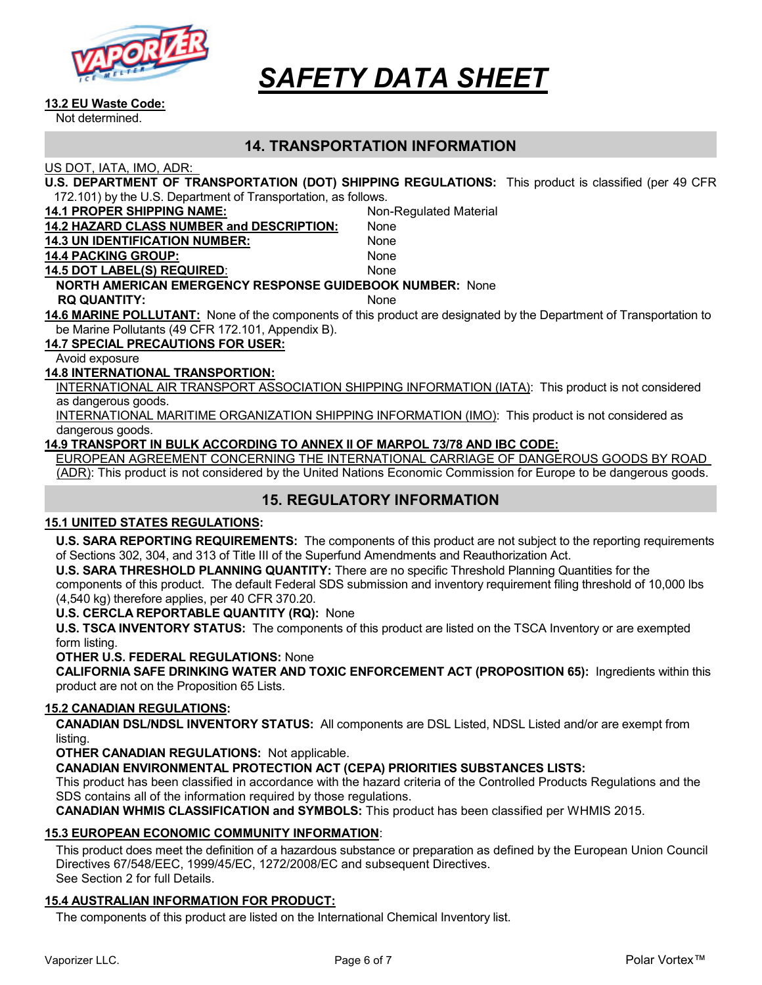

#### 13.2 EU Waste Code:

Not determined.

### 14. TRANSPORTATION INFORMATION

US DOT, IATA, IMO, ADR:

| U.S. DEPARTMENT OF TRANSPORTATION (DOT) SHIPPING REGULATIONS: This product is classified (per 49 CFR |  |
|------------------------------------------------------------------------------------------------------|--|
| 172.101) by the U.S. Department of Transportation, as follows.                                       |  |

| IZ. IVIT by the U.S. Department of Transportation, as follows.  |                                                                                                                     |  |  |
|-----------------------------------------------------------------|---------------------------------------------------------------------------------------------------------------------|--|--|
| <b>14.1 PROPER SHIPPING NAME:</b>                               | Non-Regulated Material                                                                                              |  |  |
| <b>14.2 HAZARD CLASS NUMBER and DESCRIPTION:</b>                | None                                                                                                                |  |  |
| <b>14.3 UN IDENTIFICATION NUMBER:</b>                           | None                                                                                                                |  |  |
| <b>14.4 PACKING GROUP:</b>                                      | None                                                                                                                |  |  |
| <b>14.5 DOT LABEL(S) REQUIRED:</b>                              | None                                                                                                                |  |  |
| <b>NORTH AMERICAN EMERGENCY RESPONSE GUIDEBOOK NUMBER: None</b> |                                                                                                                     |  |  |
| <b>RQ QUANTITY:</b>                                             | <b>None</b>                                                                                                         |  |  |
|                                                                 | 14.6 MARINE POLLUTANT: None of the components of this product are designated by the Department of Transportation to |  |  |
| be Marine Pollutants (49 CFR 172.101, Appendix B).              |                                                                                                                     |  |  |
| <b>14.7 SPECIAL PRECAUTIONS FOR USER:</b>                       |                                                                                                                     |  |  |
|                                                                 |                                                                                                                     |  |  |

Avoid exposure

#### 14.8 INTERNATIONAL TRANSPORTION:

INTERNATIONAL AIR TRANSPORT ASSOCIATION SHIPPING INFORMATION (IATA): This product is not considered as dangerous goods.

INTERNATIONAL MARITIME ORGANIZATION SHIPPING INFORMATION (IMO): This product is not considered as dangerous goods.

#### 14.9 TRANSPORT IN BULK ACCORDING TO ANNEX II OF MARPOL 73/78 AND IBC CODE:

EUROPEAN AGREEMENT CONCERNING THE INTERNATIONAL CARRIAGE OF DANGEROUS GOODS BY ROAD (ADR): This product is not considered by the United Nations Economic Commission for Europe to be dangerous goods.

# 15. REGULATORY INFORMATION

#### 15.1 UNITED STATES REGULATIONS:

U.S. SARA REPORTING REQUIREMENTS: The components of this product are not subject to the reporting requirements of Sections 302, 304, and 313 of Title III of the Superfund Amendments and Reauthorization Act.

U.S. SARA THRESHOLD PLANNING QUANTITY: There are no specific Threshold Planning Quantities for the components of this product. The default Federal SDS submission and inventory requirement filing threshold of 10,000 lbs (4,540 kg) therefore applies, per 40 CFR 370.20.

#### U.S. CERCLA REPORTABLE QUANTITY (RQ): None

U.S. TSCA INVENTORY STATUS: The components of this product are listed on the TSCA Inventory or are exempted form listing.

#### OTHER U.S. FEDERAL REGULATIONS: None

CALIFORNIA SAFE DRINKING WATER AND TOXIC ENFORCEMENT ACT (PROPOSITION 65): Ingredients within this product are not on the Proposition 65 Lists.

#### 15.2 CANADIAN REGULATIONS:

CANADIAN DSL/NDSL INVENTORY STATUS: All components are DSL Listed, NDSL Listed and/or are exempt from listing.

OTHER CANADIAN REGULATIONS: Not applicable.

CANADIAN ENVIRONMENTAL PROTECTION ACT (CEPA) PRIORITIES SUBSTANCES LISTS:

This product has been classified in accordance with the hazard criteria of the Controlled Products Regulations and the SDS contains all of the information required by those regulations.

CANADIAN WHMIS CLASSIFICATION and SYMBOLS: This product has been classified per WHMIS 2015.

#### 15.3 EUROPEAN ECONOMIC COMMUNITY INFORMATION:

This product does meet the definition of a hazardous substance or preparation as defined by the European Union Council Directives 67/548/EEC, 1999/45/EC, 1272/2008/EC and subsequent Directives. See Section 2 for full Details.

#### 15.4 AUSTRALIAN INFORMATION FOR PRODUCT:

The components of this product are listed on the International Chemical Inventory list.